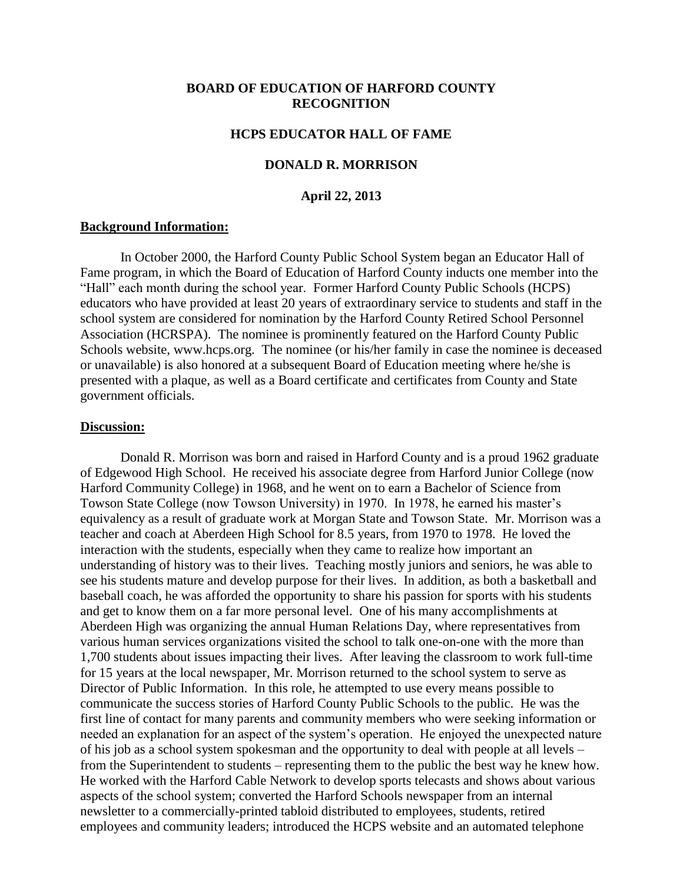# **BOARD OF EDUCATION OF HARFORD COUNTY RECOGNITION**

### **HCPS EDUCATOR HALL OF FAME**

### **DONALD R. MORRISON**

### **April 22, 2013**

### **Background Information:**

In October 2000, the Harford County Public School System began an Educator Hall of Fame program, in which the Board of Education of Harford County inducts one member into the "Hall" each month during the school year. Former Harford County Public Schools (HCPS) educators who have provided at least 20 years of extraordinary service to students and staff in the school system are considered for nomination by the Harford County Retired School Personnel Association (HCRSPA). The nominee is prominently featured on the Harford County Public Schools website, www.hcps.org. The nominee (or his/her family in case the nominee is deceased or unavailable) is also honored at a subsequent Board of Education meeting where he/she is presented with a plaque, as well as a Board certificate and certificates from County and State government officials.

#### **Discussion:**

Donald R. Morrison was born and raised in Harford County and is a proud 1962 graduate of Edgewood High School. He received his associate degree from Harford Junior College (now Harford Community College) in 1968, and he went on to earn a Bachelor of Science from Towson State College (now Towson University) in 1970. In 1978, he earned his master's equivalency as a result of graduate work at Morgan State and Towson State. Mr. Morrison was a teacher and coach at Aberdeen High School for 8.5 years, from 1970 to 1978. He loved the interaction with the students, especially when they came to realize how important an understanding of history was to their lives. Teaching mostly juniors and seniors, he was able to see his students mature and develop purpose for their lives. In addition, as both a basketball and baseball coach, he was afforded the opportunity to share his passion for sports with his students and get to know them on a far more personal level. One of his many accomplishments at Aberdeen High was organizing the annual Human Relations Day, where representatives from various human services organizations visited the school to talk one-on-one with the more than 1,700 students about issues impacting their lives. After leaving the classroom to work full-time for 15 years at the local newspaper, Mr. Morrison returned to the school system to serve as Director of Public Information. In this role, he attempted to use every means possible to communicate the success stories of Harford County Public Schools to the public. He was the first line of contact for many parents and community members who were seeking information or needed an explanation for an aspect of the system's operation. He enjoyed the unexpected nature of his job as a school system spokesman and the opportunity to deal with people at all levels – from the Superintendent to students – representing them to the public the best way he knew how. He worked with the Harford Cable Network to develop sports telecasts and shows about various aspects of the school system; converted the Harford Schools newspaper from an internal newsletter to a commercially-printed tabloid distributed to employees, students, retired employees and community leaders; introduced the HCPS website and an automated telephone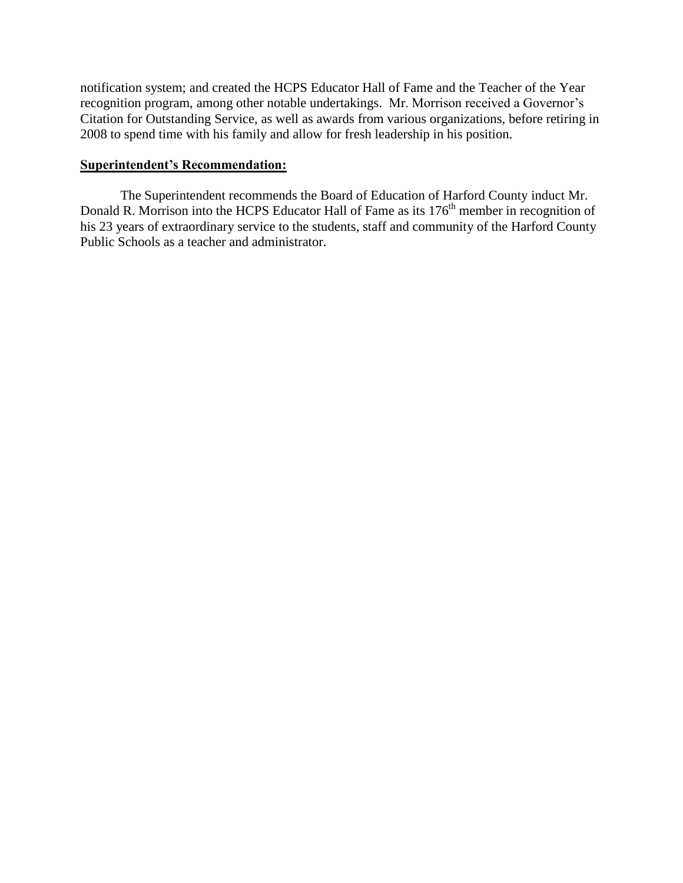notification system; and created the HCPS Educator Hall of Fame and the Teacher of the Year recognition program, among other notable undertakings. Mr. Morrison received a Governor's Citation for Outstanding Service, as well as awards from various organizations, before retiring in 2008 to spend time with his family and allow for fresh leadership in his position.

# **Superintendent's Recommendation:**

The Superintendent recommends the Board of Education of Harford County induct Mr. Donald R. Morrison into the HCPS Educator Hall of Fame as its 176<sup>th</sup> member in recognition of his 23 years of extraordinary service to the students, staff and community of the Harford County Public Schools as a teacher and administrator.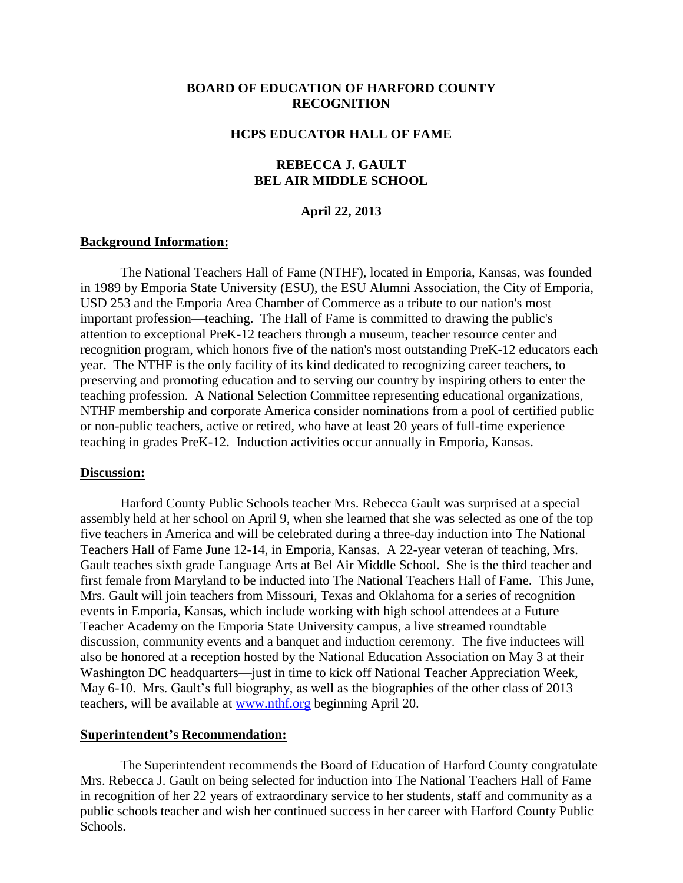# **BOARD OF EDUCATION OF HARFORD COUNTY RECOGNITION**

### **HCPS EDUCATOR HALL OF FAME**

# **REBECCA J. GAULT BEL AIR MIDDLE SCHOOL**

#### **April 22, 2013**

#### **Background Information:**

The National Teachers Hall of Fame (NTHF), located in Emporia, Kansas, was founded in 1989 by Emporia State University (ESU), the ESU Alumni Association, the City of Emporia, USD 253 and the Emporia Area Chamber of Commerce as a tribute to our nation's most important profession—teaching. The Hall of Fame is committed to drawing the public's attention to exceptional PreK-12 teachers through a museum, teacher resource center and recognition program, which honors five of the nation's most outstanding PreK-12 educators each year. The NTHF is the only facility of its kind dedicated to recognizing career teachers, to preserving and promoting education and to serving our country by inspiring others to enter the teaching profession. A National Selection Committee representing educational organizations, NTHF membership and corporate America consider nominations from a pool of certified public or non-public teachers, active or retired, who have at least 20 years of full-time experience teaching in grades PreK-12. Induction activities occur annually in Emporia, Kansas.

#### **Discussion:**

Harford County Public Schools teacher Mrs. Rebecca Gault was surprised at a special assembly held at her school on April 9, when she learned that she was selected as one of the top five teachers in America and will be celebrated during a three-day induction into The National Teachers Hall of Fame June 12-14, in Emporia, Kansas. A 22-year veteran of teaching, Mrs. Gault teaches sixth grade Language Arts at Bel Air Middle School. She is the third teacher and first female from Maryland to be inducted into The National Teachers Hall of Fame. This June, Mrs. Gault will join teachers from Missouri, Texas and Oklahoma for a series of recognition events in Emporia, Kansas, which include working with high school attendees at a Future Teacher Academy on the Emporia State University campus, a live streamed roundtable discussion, community events and a banquet and induction ceremony. The five inductees will also be honored at a reception hosted by the National Education Association on May 3 at their Washington DC headquarters—just in time to kick off National Teacher Appreciation Week, May 6-10. Mrs. Gault's full biography, as well as the biographies of the other class of 2013 teachers, will be available at [www.nthf.org](http://www.nthf.org/) beginning April 20.

#### **Superintendent's Recommendation:**

The Superintendent recommends the Board of Education of Harford County congratulate Mrs. Rebecca J. Gault on being selected for induction into The National Teachers Hall of Fame in recognition of her 22 years of extraordinary service to her students, staff and community as a public schools teacher and wish her continued success in her career with Harford County Public Schools.